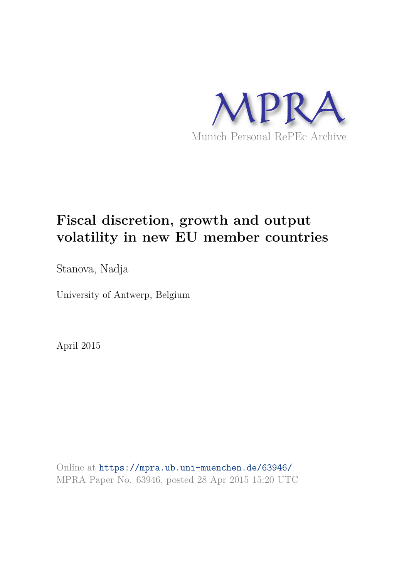

# **Fiscal discretion, growth and output volatility in new EU member countries**

Stanova, Nadja

University of Antwerp, Belgium

April 2015

Online at https://mpra.ub.uni-muenchen.de/63946/ MPRA Paper No. 63946, posted 28 Apr 2015 15:20 UTC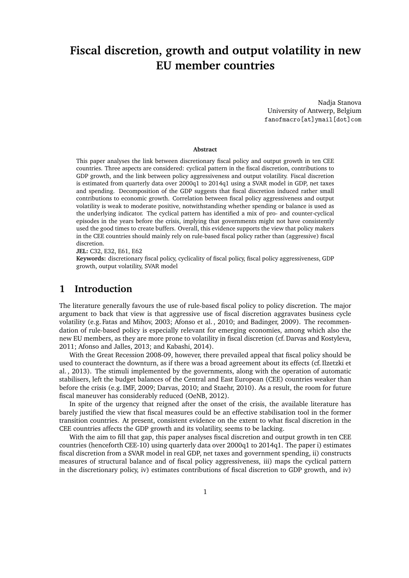## **Fiscal discretion, growth and output volatility in new EU member countries**

Nadja Stanova University of Antwerp, Belgium fanofmacro[at]ymail[dot]com

#### **Abstract**

This paper analyses the link between discretionary fiscal policy and output growth in ten CEE countries. Three aspects are considered: cyclical pattern in the fiscal discretion, contributions to GDP growth, and the link between policy aggressiveness and output volatility. Fiscal discretion is estimated from quarterly data over 2000q1 to 2014q1 using a SVAR model in GDP, net taxes and spending. Decomposition of the GDP suggests that fiscal discretion induced rather small contributions to economic growth. Correlation between fiscal policy aggressiveness and output volatility is weak to moderate positive, notwithstanding whether spending or balance is used as the underlying indicator. The cyclical pattern has identified a mix of pro- and counter-cyclical episodes in the years before the crisis, implying that governments might not have consistently used the good times to create buffers. Overall, this evidence supports the view that policy makers in the CEE countries should mainly rely on rule-based fiscal policy rather than (aggressive) fiscal discretion.

**JEL:** C32, E32, E61, E62

**Keywords:** discretionary fiscal policy, cyclicality of fiscal policy, fiscal policy aggressiveness, GDP growth, output volatility, SVAR model

#### **1 Introduction**

The literature generally favours the use of rule-based fiscal policy to policy discretion. The major argument to back that view is that aggressive use of fiscal discretion aggravates business cycle volatility (e.g. Fatas and Mihov, 2003; Afonso et al. , 2010; and Badinger, 2009). The recommendation of rule-based policy is especially relevant for emerging economies, among which also the new EU members, as they are more prone to volatility in fiscal discretion (cf. Darvas and Kostyleva, 2011; Afonso and Jalles, 2013; and Kabashi, 2014).

With the Great Recession 2008-09, however, there prevailed appeal that fiscal policy should be used to counteract the downturn, as if there was a broad agreement about its effects (cf. Ilzetzki et al. , 2013). The stimuli implemented by the governments, along with the operation of automatic stabilisers, left the budget balances of the Central and East European (CEE) countries weaker than before the crisis (e.g. IMF, 2009; Darvas, 2010; and Staehr, 2010). As a result, the room for future fiscal maneuver has considerably reduced (OeNB, 2012).

In spite of the urgency that reigned after the onset of the crisis, the available literature has barely justified the view that fiscal measures could be an effective stabilisation tool in the former transition countries. At present, consistent evidence on the extent to what fiscal discretion in the CEE countries affects the GDP growth and its volatility, seems to be lacking.

With the aim to fill that gap, this paper analyses fiscal discretion and output growth in ten CEE countries (henceforth CEE-10) using quarterly data over 2000q1 to 2014q1. The paper i) estimates fiscal discretion from a SVAR model in real GDP, net taxes and government spending, ii) constructs measures of structural balance and of fiscal policy aggressiveness, iii) maps the cyclical pattern in the discretionary policy, iv) estimates contributions of fiscal discretion to GDP growth, and iv)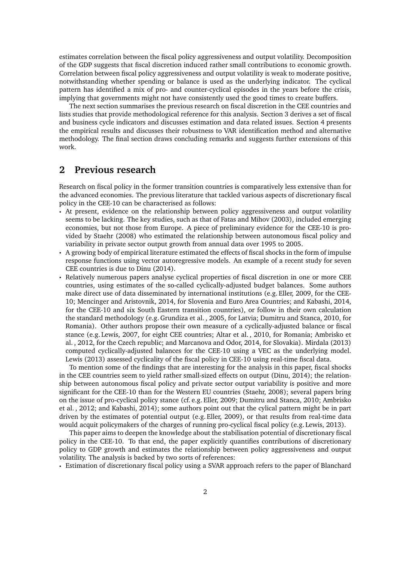estimates correlation between the fiscal policy aggressiveness and output volatility. Decomposition of the GDP suggests that fiscal discretion induced rather small contributions to economic growth. Correlation between fiscal policy aggressiveness and output volatility is weak to moderate positive, notwithstanding whether spending or balance is used as the underlying indicator. The cyclical pattern has identified a mix of pro- and counter-cyclical episodes in the years before the crisis, implying that governments might not have consistently used the good times to create buffers.

The next section summarises the previous research on fiscal discretion in the CEE countries and lists studies that provide methodological reference for this analysis. Section 3 derives a set of fiscal and business cycle indicators and discusses estimation and data related issues. Section 4 presents the empirical results and discusses their robustness to VAR identification method and alternative methodology. The final section draws concluding remarks and suggests further extensions of this work.

#### **2 Previous research**

Research on fiscal policy in the former transition countries is comparatively less extensive than for the advanced economies. The previous literature that tackled various aspects of discretionary fiscal policy in the CEE-10 can be characterised as follows:

- At present, evidence on the relationship between policy aggressiveness and output volatility seems to be lacking. The key studies, such as that of Fatas and Mihov (2003), included emerging economies, but not those from Europe. A piece of preliminary evidence for the CEE-10 is provided by Staehr (2008) who estimated the relationship between autonomous fiscal policy and variability in private sector output growth from annual data over 1995 to 2005.
- $\cdot$  A growing body of empirical literature estimated the effects of fiscal shocks in the form of impulse response functions using vector autoregressive models. An example of a recent study for seven CEE countries is due to Dinu (2014).
- Relatively numerous papers analyse cyclical properties of fiscal discretion in one or more CEE countries, using estimates of the so-called cyclically-adjusted budget balances. Some authors make direct use of data disseminated by international institutions (e.g. Eller, 2009, for the CEE-10; Mencinger and Aristovnik, 2014, for Slovenia and Euro Area Countries; and Kabashi, 2014, for the CEE-10 and six South Eastern transition countries), or follow in their own calculation the standard methodology (e.g. Grundiza et al. , 2005, for Latvia; Dumitru and Stanca, 2010, for Romania). Other authors propose their own measure of a cyclically-adjusted balance or fiscal stance (e.g. Lewis, 2007, for eight CEE countries; Altar et al. , 2010, for Romania; Ambrisko et al. , 2012, for the Czech republic; and Marcanova and Odor, 2014, for Slovakia). Mirdala (2013) computed cyclically-adjusted balances for the CEE-10 using a VEC as the underlying model. Lewis (2013) assessed cyclicality of the fiscal policy in CEE-10 using real-time fiscal data.

To mention some of the findings that are interesting for the analysis in this paper, fiscal shocks in the CEE countries seem to yield rather small-sized effects on output (Dinu, 2014); the relationship between autonomous fiscal policy and private sector output variability is positive and more significant for the CEE-10 than for the Western EU countries (Staehr, 2008); several papers bring on the issue of pro-cyclical policy stance (cf. e.g. Eller, 2009; Dumitru and Stanca, 2010; Ambrisko et al. , 2012; and Kabashi, 2014); some authors point out that the cylical pattern might be in part driven by the estimates of potential output (e.g. Eller, 2009), or that results from real-time data would acquit policymakers of the charges of running pro-cyclical fiscal policy (e.g. Lewis, 2013).

This paper aims to deepen the knowledge about the stabilisation potential of discretionary fiscal policy in the CEE-10. To that end, the paper explicitly quantifies contributions of discretionary policy to GDP growth and estimates the relationship between policy aggressiveness and output volatility. The analysis is backed by two sorts of references:

q Estimation of discretionary fiscal policy using a SVAR approach refers to the paper of Blanchard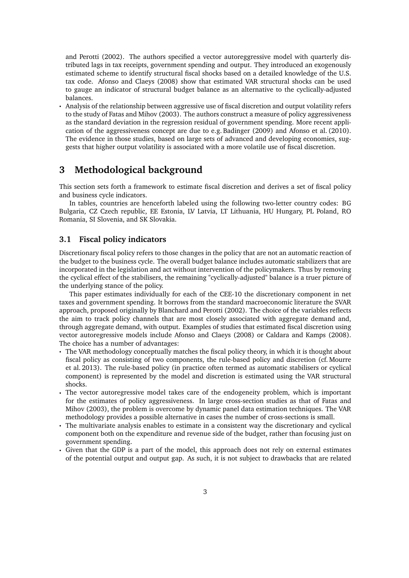and Perotti (2002). The authors specified a vector autoreggressive model with quarterly distributed lags in tax receipts, government spending and output. They introduced an exogenously estimated scheme to identify structural fiscal shocks based on a detailed knowledge of the U.S. tax code. Afonso and Claeys (2008) show that estimated VAR structural shocks can be used to gauge an indicator of structural budget balance as an alternative to the cyclically-adjusted balances.

Analysis of the relationship between aggressive use of fiscal discretion and output volatility refers to the study of Fatas and Mihov (2003). The authors construct a measure of policy aggressiveness as the standard deviation in the regression residual of government spending. More recent application of the aggressiveness concept are due to e.g. Badinger (2009) and Afonso et al. (2010). The evidence in those studies, based on large sets of advanced and developing economies, suggests that higher output volatility is associated with a more volatile use of fiscal discretion.

### **3 Methodological background**

This section sets forth a framework to estimate fiscal discretion and derives a set of fiscal policy and business cycle indicators.

In tables, countries are henceforth labeled using the following two-letter country codes: BG Bulgaria, CZ Czech republic, EE Estonia, LV Latvia, LT Lithuania, HU Hungary, PL Poland, RO Romania, SI Slovenia, and SK Slovakia.

#### **3.1 Fiscal policy indicators**

Discretionary fiscal policy refers to those changes in the policy that are not an automatic reaction of the budget to the business cycle. The overall budget balance includes automatic stabilizers that are incorporated in the legislation and act without intervention of the policymakers. Thus by removing the cyclical effect of the stabilisers, the remaining "cyclically-adjusted" balance is a truer picture of the underlying stance of the policy.

This paper estimates individually for each of the CEE-10 the discretionary component in net taxes and government spending. It borrows from the standard macroeconomic literature the SVAR approach, proposed originally by Blanchard and Perotti (2002). The choice of the variables reflects the aim to track policy channels that are most closely associated with aggregate demand and, through aggregate demand, with output. Examples of studies that estimated fiscal discretion using vector autoregressive models include Afonso and Claeys (2008) or Caldara and Kamps (2008). The choice has a number of advantages:

- $\cdot$  The VAR methodology conceptually matches the fiscal policy theory, in which it is thought about fiscal policy as consisting of two components, the rule-based policy and discretion (cf. Mourre et al. 2013). The rule-based policy (in practice often termed as automatic stabilisers or cyclical component) is represented by the model and discretion is estimated using the VAR structural shocks.
- The vector autoregressive model takes care of the endogeneity problem, which is important for the estimates of policy aggressiveness. In large cross-section studies as that of Fatas and Mihov (2003), the problem is overcome by dynamic panel data estimation techniques. The VAR methodology provides a possible alternative in cases the number of cross-sections is small.
- $\cdot$  The multivariate analysis enables to estimate in a consistent way the discretionary and cyclical component both on the expenditure and revenue side of the budget, rather than focusing just on government spending.
- Given that the GDP is a part of the model, this approach does not rely on external estimates of the potential output and output gap. As such, it is not subject to drawbacks that are related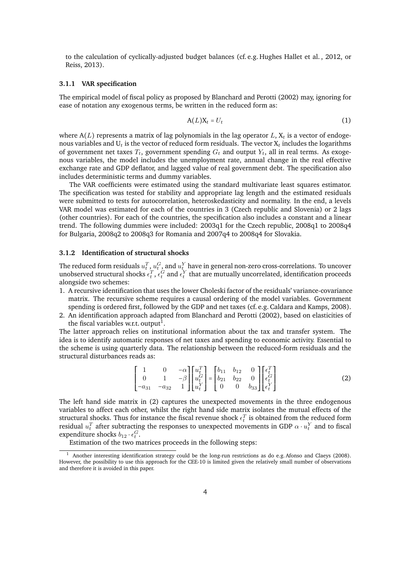to the calculation of cyclically-adjusted budget balances (cf. e.g. Hughes Hallet et al. , 2012, or Reiss, 2013).

#### **3.1.1 VAR specification**

The empirical model of fiscal policy as proposed by Blanchard and Perotti (2002) may, ignoring for ease of notation any exogenous terms, be written in the reduced form as:

$$
A(L)X_t = U_t \tag{1}
$$

where  $A(L)$  represents a matrix of lag polynomials in the lag operator L,  $X_t$  is a vector of endogenous variables and  $U_t$  is the vector of reduced form residuals. The vector  $X_t$  includes the logarithms of government net taxes  $T_t$ , government spending  $G_t$  and output  $Y_t$ , all in real terms. As exogenous variables, the model includes the unemployment rate, annual change in the real effective exchange rate and GDP deflator, and lagged value of real government debt. The specification also includes deterministic terms and dummy variables.

The VAR coefficients were estimated using the standard multivariate least squares estimator. The specification was tested for stability and appropriate lag length and the estimated residuals were submitted to tests for autocorrelation, heteroskedasticity and normality. In the end, a levels VAR model was estimated for each of the countries in 3 (Czech republic and Slovenia) or 2 lags (other countries). For each of the countries, the specification also includes a constant and a linear trend. The following dummies were included: 2003q1 for the Czech republic, 2008q1 to 2008q4 for Bulgaria, 2008q2 to 2008q3 for Romania and 2007q4 to 2008q4 for Slovakia.

#### **3.1.2 Identification of structural shocks**

The reduced form residuals  $u_t^T$  ,  $u_t^G$  , and  $u_t^Y$  have in general non-zero cross-correlations. To uncover unobserved structural shocks  $\epsilon_t^T$ ,  $\epsilon_t^G$  and  $\epsilon_t^Y$  that are mutually uncorrelated, identification proceeds alongside two schemes:

- 1. A recursive identification that uses the lower Choleski factor of the residuals' variance-covariance matrix. The recursive scheme requires a causal ordering of the model variables. Government spending is ordered first, followed by the GDP and net taxes (cf. e.g. Caldara and Kamps, 2008).
- 2. An identification approach adapted from Blanchard and Perotti (2002), based on elasticities of the fiscal variables w.r.t. output $^{\rm 1}$ .

The latter approach relies on institutional information about the tax and transfer system. The idea is to identify automatic responses of net taxes and spending to economic activity. Essential to the scheme is using quarterly data. The relationship between the reduced-form residuals and the structural disturbances reads as:

$$
\begin{bmatrix} 1 & 0 & -\alpha \\ 0 & 1 & -\beta \\ -a_{31} & -a_{32} & 1 \end{bmatrix} \begin{bmatrix} u_t^T \\ u_t^G \\ u_t^Y \end{bmatrix} = \begin{bmatrix} b_{11} & b_{12} & 0 \\ b_{21} & b_{22} & 0 \\ 0 & 0 & b_{33} \end{bmatrix} \begin{bmatrix} \epsilon_t^T \\ \epsilon_t^G \\ \epsilon_t^Y \end{bmatrix}
$$
(2)

The left hand side matrix in (2) captures the unexpected movements in the three endogenous variables to affect each other, whilst the right hand side matrix isolates the mutual effects of the structural shocks. Thus for instance the fiscal revenue shock  $\epsilon_t^T$  is obtained from the reduced form residual  $u_t^T$  after subtracting the responses to unexpected movements in GDP  $\alpha \cdot u_t^Y$  and to fiscal expenditure shocks  $b_{12} \cdot \epsilon_t^G$ .

Estimation of the two matrices proceeds in the following steps:

<sup>1</sup> Another interesting identification strategy could be the long-run restrictions as do e.g. Afonso and Claeys (2008). However, the possibility to use this approach for the CEE-10 is limited given the relatively small number of observations and therefore it is avoided in this paper.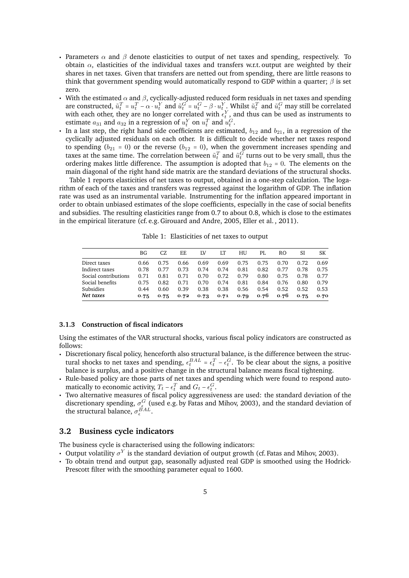- Parameters  $\alpha$  and  $\beta$  denote elasticities to output of net taxes and spending, respectively. To obtain  $\alpha$ , elasticities of the individual taxes and transfers w.r.t. output are weighted by their shares in net taxes. Given that transfers are netted out from spending, there are little reasons to think that government spending would automatically respond to GDP within a quarter;  $\beta$  is set zero.
- With the estimated  $\alpha$  and  $\beta$ , cyclically-adjusted reduced form residuals in net taxes and spending are constructed,  $\tilde{u}_t^T = u_t^T - \alpha \cdot u_t^Y$  and  $\tilde{u}_t^G = u_t^G - \beta \cdot u_t^Y$ . Whilst  $\tilde{u}_t^T$  and  $\tilde{u}_t^G$  may still be correlated with each other, they are no longer correlated with  $\epsilon_t^Y$ , and thus can be used as instruments to estimate  $a_{31}$  and  $a_{32}$  in a regression of  $u_t^Y$  on  $u_t^T$  and  $u_t^G$ .
- q In a last step, the right hand side coefficients are estimated,  $b_{12}$  and  $b_{21}$ , in a regression of the cyclically adjusted residuals on each other. It is difficult to decide whether net taxes respond to spending ( $b_{21} = 0$ ) or the reverse ( $b_{12} = 0$ ), when the government increases spending and taxes at the same time. The correlation between  $\tilde{u}_t^T$  and  $\tilde{u}_t^G$  turns out to be very small, thus the ordering makes little difference. The assumption is adopted that  $b_{12} = 0$ . The elements on the main diagonal of the right hand side matrix are the standard deviations of the structural shocks.

Table 1 reports elasticities of net taxes to output, obtained in a one-step calculation. The logarithm of each of the taxes and transfers was regressed against the logarithm of GDP. The inflation rate was used as an instrumental variable. Instrumenting for the inflation appeared important in order to obtain unbiased estimates of the slope coefficients, especially in the case of social benefits and subsidies. The resulting elasticities range from 0.7 to about 0.8, which is close to the estimates in the empirical literature (cf. e.g. Girouard and Andre, 2005, Eller et al. , 2011).

| Table 1: Elasticities of net taxes to outpu <sup>*</sup> |
|----------------------------------------------------------|
|----------------------------------------------------------|

|                      | ΒG   | CZ   | EF.  | ΙV   | LТ   | НU   | PI.  | RO   | SI   | SK   |
|----------------------|------|------|------|------|------|------|------|------|------|------|
| Direct taxes         | 0.66 | 0.75 | 0.66 | 0.69 | 0.69 | 0.75 | 0.75 | 0.70 | 0.72 | 0.69 |
| Indirect taxes       | 0.78 | 0.77 | 0.73 | 0.74 | 0.74 | 0.81 | 0.82 | 0.77 | 0.78 | 0.75 |
| Social contributions | 0.71 | 0.81 | 0.71 | 0.70 | 0.72 | 0.79 | 0.80 | 0.75 | 0.78 | 0.77 |
| Social benefits      | 0.75 | 0.82 | 0.71 | 0.70 | 0.74 | 0.81 | 0.84 | 0.76 | 0.80 | 0.79 |
| Subsidies            | 0.44 | 0.60 | 0.39 | 0.38 | 0.38 | 0.56 | 0.54 | 0.52 | 0.52 | 0.53 |
| Net taxes            | 0.75 | 0.75 | 0.72 | 0.73 | 0.71 | 0.79 | 0.76 | 0.76 | 0.75 | 0.70 |

#### **3.1.3 Construction of fiscal indicators**

Using the estimates of the VAR structural shocks, various fiscal policy indicators are constructed as follows:

- q Discretionary fiscal policy, henceforth also structural balance, is the difference between the structural shocks to net taxes and spending,  $\epsilon_t^{BAL} = \epsilon_t^T - \epsilon_t^G$ . To be clear about the signs, a positive balance is surplus, and a positive change in the structural balance means fiscal tightening.
- Rule-based policy are those parts of net taxes and spending which were found to respond automatically to economic activity,  $T_t - \epsilon_t^T$  and  $G_t - \epsilon_t^G$ .
- $\cdot$  Two alternative measures of fiscal policy aggressiveness are used: the standard deviation of the discretionary spending,  $\sigma_{\epsilon}^G$  (used e.g. by Fatas and Mihov, 2003), and the standard deviation of the structural balance,  $\sigma_{\epsilon}^{\vec{B}AL}$ .

#### **3.2 Business cycle indicators**

The business cycle is characterised using the following indicators:

- Output volatility  $\sigma^{Y}$  is the standard deviation of output growth (cf. Fatas and Mihov, 2003).
- $\cdot$  To obtain trend and output gap, seasonally adjusted real GDP is smoothed using the Hodrick-Prescott filter with the smoothing parameter equal to 1600.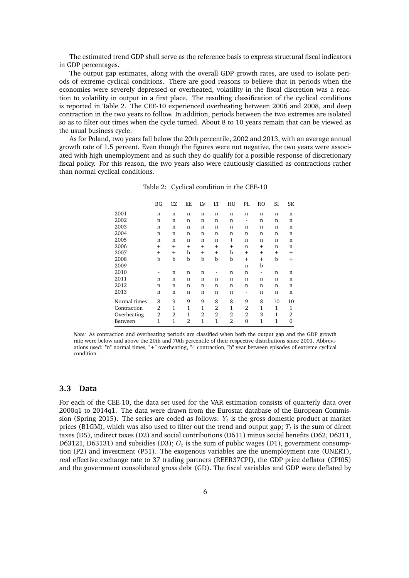The estimated trend GDP shall serve as the reference basis to express structural fiscal indicators in GDP percentages.

The output gap estimates, along with the overall GDP growth rates, are used to isolate periods of extreme cyclical conditions. There are good reasons to believe that in periods when the economies were severely depressed or overheated, volatility in the fiscal discretion was a reaction to volatility in output in a first place. The resulting classification of the cyclical conditions is reported in Table 2. The CEE-10 experienced overheating between 2006 and 2008, and deep contraction in the two years to follow. In addition, periods between the two extremes are isolated so as to filter out times when the cycle turned. About 8 to 10 years remain that can be viewed as the usual business cycle.

As for Poland, two years fall below the 20th percentile, 2002 and 2013, with an average annual growth rate of 1.5 percent. Even though the figures were not negative, the two years were associated with high unemployment and as such they do qualify for a possible response of discretionary fiscal policy. For this reason, the two years also were cautiously classified as contractions rather than normal cyclical conditions.

|              | ΒG             | CZ           | EE   | LV           | LT             | HU   | PL.    | RO           | SI          | SK       |
|--------------|----------------|--------------|------|--------------|----------------|------|--------|--------------|-------------|----------|
| 2001         | n              | n            | n    | n            | n              | n    | n      | n            | n           | n        |
| 2002         | n              | n            | n    | n            | n              | n    | ۰      | n            | n           | n        |
| 2003         | n              | n            | n    | n            | n              | n    | n      | n            | n           | n        |
| 2004         | n              | n            | n    | n            | n              | n    | n      | n            | $\mathbf n$ | n        |
| 2005         | n              | n            | n    | n            | n              | $^+$ | n      | n            | n           | n        |
| 2006         | $^{+}$         | $\mathrm{+}$ | $^+$ | $\mathrm{+}$ | $^+$           | $^+$ | n      | $^{+}$       | n           | n        |
| 2007         | $^{+}$         | $^{+}$       | b    | $^{+}$       | $^{+}$         | b    | $^{+}$ | $^{+}$       | $^{+}$      | $^{+}$   |
| 2008         | b              | b            | b    | b            | b              | b    | $^{+}$ | $^{+}$       | b           | $^+$     |
| 2009         | ٠              | -            | -    | -            | ٠              | ۰    | n      | b            | ۰           | ۰        |
| 2010         | ٠              | n            | n    | n            | ٠              | n    | n      | ٠            | $\mathbf n$ | n        |
| 2011         | n              | n            | n    | n            | n              | n    | n      | n            | n           | n        |
| 2012         | n              | n            | n    | n            | n              | n    | n      | n            | $\mathbf n$ | n        |
| 2013         | n              | n            | n    | n            | n              | n    |        | n            | n           | n        |
| Normal times | 8              | 9            | 9    | 9            | 8              | 8    | 9      | 8            | 10          | 10       |
| Contraction  | 2              | 1            | 1    | 1            | 2              | 1    | 2      | 1            | 1           | 1        |
| Overheating  | $\overline{2}$ | 2            | 1    | 2            | $\overline{2}$ | 2    | 2      | 3            | 1           | 2        |
| Between      | 1              | 1            | 2    | 1            | 1              | 2    | 0      | $\mathbf{1}$ | 1           | $\Omega$ |

Table 2: Cyclical condition in the CEE-10

*Note:* As contraction and overheating periods are classified when both the output gap and the GDP growth rate were below and above the 20th and 70th percentile of their respective distributions since 2001. Abbreviations used: "n" normal times, "+" overheating, "-" contraction, "b" year between episodes of extreme cyclical condition.

#### **3.3 Data**

For each of the CEE-10, the data set used for the VAR estimation consists of quarterly data over 2000q1 to 2014q1. The data were drawn from the Eurostat database of the European Commission (Spring 2015). The series are coded as follows:  $Y_t$  is the gross domestic product at market prices (B1GM), which was also used to filter out the trend and output gap;  $T_t$  is the sum of direct taxes (D5), indirect taxes (D2) and social contributions (D611) minus social benefits (D62, D6311, D63121, D63131) and subsidies (D3);  $G_t$  is the sum of public wages (D1), government consumption (P2) and investment (P51). The exogenous variables are the unemployment rate (UNERT), real effective exchange rate to 37 trading partners (REER37CPI), the GDP price deflator (CPI05) and the government consolidated gross debt (GD). The fiscal variables and GDP were deflated by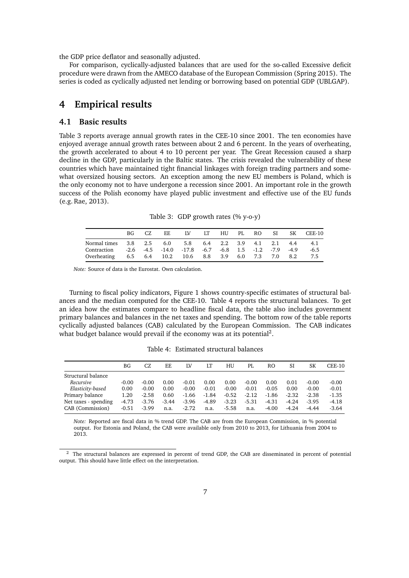the GDP price deflator and seasonally adjusted.

For comparison, cyclically-adjusted balances that are used for the so-called Excessive deficit procedure were drawn from the AMECO database of the European Commission (Spring 2015). The series is coded as cyclically adjusted net lending or borrowing based on potential GDP (UBLGAP).

## **4 Empirical results**

#### **4.1 Basic results**

Table 3 reports average annual growth rates in the CEE-10 since 2001. The ten economies have enjoyed average annual growth rates between about 2 and 6 percent. In the years of overheating, the growth accelerated to about 4 to 10 percent per year. The Great Recession caused a sharp decline in the GDP, particularly in the Baltic states. The crisis revealed the vulnerability of these countries which have maintained tight financial linkages with foreign trading partners and somewhat oversized housing sectors. An exception among the new EU members is Poland, which is the only economy not to have undergone a recession since 2001. An important role in the growth success of the Polish economy have played public investment and effective use of the EU funds (e.g. Rae, 2013).

Table 3: GDP growth rates (% y-o-y)

|                                                                | BG. | EE | - IV | LT HU PL RO SI |  |  | SK CEE-10 |
|----------------------------------------------------------------|-----|----|------|----------------|--|--|-----------|
| Normal times 3.8 2.5 6.0 5.8 6.4 2.2 3.9 4.1 2.1 4.4 4.1       |     |    |      |                |  |  |           |
| Contraction -2.6 -4.5 -14.0 -17.8 -6.7 -6.8 1.5 -1.2 -7.9 -4.9 |     |    |      |                |  |  | $-6.5$    |
| Overheating 6.5 6.4 10.2 10.6 8.8 3.9 6.0 7.3 7.0 8.2          |     |    |      |                |  |  | 7.5       |

*Note:* Source of data is the Eurostat. Own calculation.

Turning to fiscal policy indicators, Figure 1 shows country-specific estimates of structural balances and the median computed for the CEE-10. Table 4 reports the structural balances. To get an idea how the estimates compare to headline fiscal data, the table also includes government primary balances and balances in the net taxes and spending. The bottom row of the table reports cyclically adjusted balances (CAB) calculated by the European Commission. The CAB indicates what budget balance would prevail if the economy was at its potential<sup>2</sup>.

Table 4: Estimated structural balances

| $CEE-10$ |
|----------|
|          |
|          |
| $-0.00$  |
| $-0.01$  |
| $-1.35$  |
| $-4.18$  |
| $-3.64$  |
|          |

*Note:* Reported are fiscal data in % trend GDP. The CAB are from the European Commission, in % potential output. For Estonia and Poland, the CAB were available only from 2010 to 2013, for Lithuania from 2004 to 2013.

<sup>&</sup>lt;sup>2</sup> The structural balances are expressed in percent of trend GDP, the CAB are disseminated in percent of potential output. This should have little effect on the interpretation.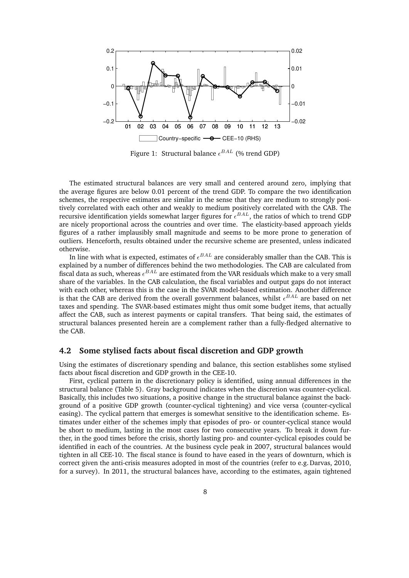

Figure 1: Structural balance  $\epsilon^{BAL}$  (% trend GDP)

The estimated structural balances are very small and centered around zero, implying that the average figures are below 0.01 percent of the trend GDP. To compare the two identification schemes, the respective estimates are similar in the sense that they are medium to strongly positively correlated with each other and weakly to medium positively correlated with the CAB. The recursive identification yields somewhat larger figures for  $\epsilon^{BAL}$ , the ratios of which to trend GDP are nicely proportional across the countries and over time. The elasticity-based approach yields figures of a rather implausibly small magnitude and seems to be more prone to generation of outliers. Henceforth, results obtained under the recursive scheme are presented, unless indicated otherwise.

In line with what is expected, estimates of  $\epsilon^{BAL}$  are considerably smaller than the CAB. This is explained by a number of differences behind the two methodologies. The CAB are calculated from fiscal data as such, whereas  $\epsilon^{BAL}$  are estimated from the VAR residuals which make to a very small share of the variables. In the CAB calculation, the fiscal variables and output gaps do not interact with each other, whereas this is the case in the SVAR model-based estimation. Another difference is that the CAB are derived from the overall government balances, whilst  $\epsilon^{BAL}$  are based on net taxes and spending. The SVAR-based estimates might thus omit some budget items, that actually affect the CAB, such as interest payments or capital transfers. That being said, the estimates of structural balances presented herein are a complement rather than a fully-fledged alternative to the CAB.

#### **4.2 Some stylised facts about fiscal discretion and GDP growth**

Using the estimates of discretionary spending and balance, this section establishes some stylised facts about fiscal discretion and GDP growth in the CEE-10.

First, cyclical pattern in the discretionary policy is identified, using annual differences in the structural balance (Table 5). Gray background indicates when the discretion was counter-cyclical. Basically, this includes two situations, a positive change in the structural balance against the background of a positive GDP growth (counter-cyclical tightening) and vice versa (counter-cyclical easing). The cyclical pattern that emerges is somewhat sensitive to the identification scheme. Estimates under either of the schemes imply that episodes of pro- or counter-cyclical stance would be short to medium, lasting in the most cases for two consecutive years. To break it down further, in the good times before the crisis, shortly lasting pro- and counter-cyclical episodes could be identified in each of the countries. At the business cycle peak in 2007, structural balances would tighten in all CEE-10. The fiscal stance is found to have eased in the years of downturn, which is correct given the anti-crisis measures adopted in most of the countries (refer to e.g. Darvas, 2010, for a survey). In 2011, the structural balances have, according to the estimates, again tightened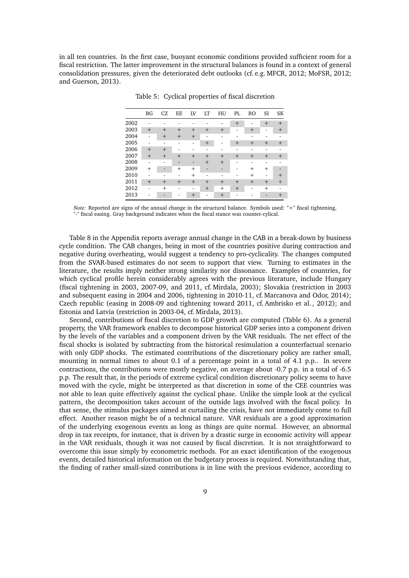in all ten countries. In the first case, buoyant economic conditions provided sufficient room for a fiscal restriction. The latter improvement in the structural balances is found in a context of general consolidation pressures, given the deteriorated debt outlooks (cf. e.g. MFCR, 2012; MoFSR, 2012; and Guerson, 2013).

|      | <b>BG</b> | CZ     | EE     | LV     | LT     | HU     | PL  | RO     | SI     | <b>SK</b> |
|------|-----------|--------|--------|--------|--------|--------|-----|--------|--------|-----------|
| 2002 |           |        |        |        |        |        | $+$ |        | $^{+}$ | $^{+}$    |
| 2003 | $^{+}$    | $+$    | $+$    | $+$    | $^{+}$ | $^{+}$ | ۰   | $+$    | -      | $^{+}$    |
| 2004 |           | $+$    | $+$    | $^{+}$ | ۰      | ٠      |     |        |        |           |
| 2005 |           |        |        | -      | $^{+}$ | ٠      | $+$ | $+$    | $+$    | $^{+}$    |
| 2006 | $^{+}$    | $+$    |        |        | ۰      |        |     |        |        |           |
| 2007 | $+$       | $^{+}$ | $+$    | $+$    | $+$    | $+$    | $+$ | $+$    | $+$    | $^{+}$    |
| 2008 | ۰         | ۰      | -      | ٠      | $^{+}$ | $+$    | ۰   | -      |        |           |
| 2009 | $^{+}$    | -      | $^{+}$ | $^{+}$ | ٠      | -      |     | $^{+}$ | $+$    |           |
| 2010 |           |        |        | $^{+}$ | ۰      |        | ۰   | $^{+}$ | ٠      | $\pm$     |
| 2011 | $+$       | $+$    | $+$    | $+$    | $+$    | $+$    | $+$ | $+$    | $+$    | $^{+}$    |
| 2012 |           | $+$    |        | ۰      | $^{+}$ | $+$    | $+$ |        | $^{+}$ |           |
| 2013 |           |        |        | $^{+}$ | ۰      | $^{+}$ |     |        |        | $\pm$     |
|      |           |        |        |        |        |        |     |        |        |           |

Table 5: Cyclical properties of fiscal discretion

*Note:* Reported are signs of the annual change in the structural balance. Symbols used: "+" fiscal tightening, "-" fiscal easing. Gray background indicates when the fiscal stance was counter-cylical.

Table 8 in the Appendix reports average annual change in the CAB in a break-down by business cycle condition. The CAB changes, being in most of the countries positive during contraction and negative during overheating, would suggest a tendency to pro-cyclicality. The changes computed from the SVAR-based estimates do not seem to support that view. Turning to estimates in the literature, the results imply neither strong similarity nor dissonance. Examples of countries, for which cyclical profile herein considerably agrees with the previous literature, include Hungary (fiscal tightening in 2003, 2007-09, and 2011, cf. Mirdala, 2003); Slovakia (restriction in 2003 and subsequent easing in 2004 and 2006, tightening in 2010-11, cf. Marcanova and Odor, 2014); Czech republic (easing in 2008-09 and tightening toward 2011, cf. Ambrisko et al. , 2012); and Estonia and Latvia (restriction in 2003-04, cf. Mirdala, 2013).

Second, contributions of fiscal discretion to GDP growth are computed (Table 6). As a general property, the VAR framework enables to decompose historical GDP series into a component driven by the levels of the variables and a component driven by the VAR residuals. The net effect of the fiscal shocks is isolated by subtracting from the historical resimulation a counterfactual scenario with only GDP shocks. The estimated contributions of the discretionary policy are rather small, mounting in normal times to about 0.1 of a percentage point in a total of 4.1 p.p.. In severe contractions, the contributions were mostly negative, on average about -0.7 p.p. in a total of -6.5 p.p. The result that, in the periods of extreme cyclical condition discretionary policy seems to have moved with the cycle, might be interpreted as that discretion in some of the CEE countries was not able to lean quite effectively against the cyclical phase. Unlike the simple look at the cyclical pattern, the decomposition takes account of the outside lags involved with the fiscal policy. In that sense, the stimulus packages aimed at curtailing the crisis, have not immediately come to full effect. Another reason might be of a technical nature. VAR residuals are a good approximation of the underlying exogenous events as long as things are quite normal. However, an abnormal drop in tax receipts, for instance, that is driven by a drastic surge in economic activity will appear in the VAR residuals, though it was not caused by fiscal discretion. It is not straightforward to overcome this issue simply by econometric methods. For an exact identification of the exogenous events, detailed historical information on the budgetary process is required. Notwithstanding that, the finding of rather small-sized contributions is in line with the previous evidence, according to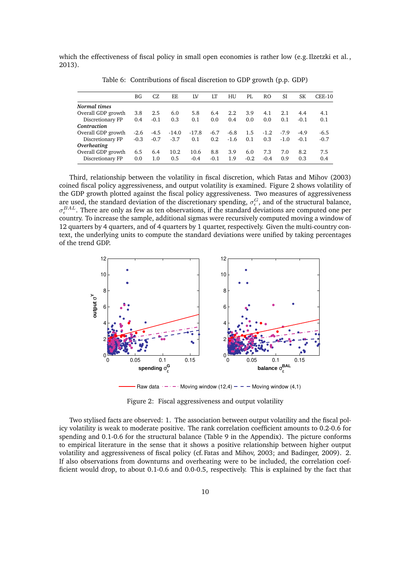which the effectiveness of fiscal policy in small open economies is rather low (e.g. Ilzetzki et al., 2013).

|                    | BG     | CZ.    | EE.     | ΙV      | LT     | HU     | PI.    | RO.    | SI     | SК     | $CEE-10$ |
|--------------------|--------|--------|---------|---------|--------|--------|--------|--------|--------|--------|----------|
| Normal times       |        |        |         |         |        |        |        |        |        |        |          |
| Overall GDP growth | 3.8    | 2.5    | 6.0     | 5.8     | 6.4    | 2.2    | 3.9    | 4.1    | 2.1    | 4.4    | 4.1      |
| Discretionary FP   | 0.4    | $-0.1$ | 0.3     | 0.1     | 0.0    | 0.4    | 0.0    | 0.0    | 0.1    | $-0.1$ | 0.1      |
| Contraction        |        |        |         |         |        |        |        |        |        |        |          |
| Overall GDP growth | $-2.6$ | -4.5   | $-14.0$ | $-17.8$ | $-6.7$ | $-6.8$ | 1.5    | $-1.2$ | $-7.9$ | $-4.9$ | $-6.5$   |
| Discretionary FP   | $-0.3$ | $-0.7$ | $-3.7$  | 0.1     | 0.2    | $-1.6$ | 0.1    | 0.3    | $-1.0$ | $-0.1$ | $-0.7$   |
| Overheating        |        |        |         |         |        |        |        |        |        |        |          |
| Overall GDP growth | 6.5    | 6.4    | 10.2    | 10.6    | 8.8    | 3.9    | 6.0    | 7.3    | 7.0    | 8.2    | 7.5      |
| Discretionary FP   | 0.0    | 1.0    | 0.5     | $-0.4$  | $-0.1$ | 1.9    | $-0.2$ | $-0.4$ | 0.9    | 0.3    | 0.4      |

Table 6: Contributions of fiscal discretion to GDP growth (p.p. GDP)

Third, relationship between the volatility in fiscal discretion, which Fatas and Mihov (2003) coined fiscal policy aggressiveness, and output volatility is examined. Figure 2 shows volatility of the GDP growth plotted against the fiscal policy aggressiveness. Two measures of aggressiveness are used, the standard deviation of the discretionary spending,  $\sigma_{\epsilon}^G$ , and of the structural balance,  $\sigma_{\epsilon}^{BAL}$ . There are only as few as ten observations, if the standard deviations are computed one per country. To increase the sample, additional sigmas were recursively computed moving a window of 12 quarters by 4 quarters, and of 4 quarters by 1 quarter, respectively. Given the multi-country context, the underlying units to compute the standard deviations were unified by taking percentages of the trend GDP.



Raw data  $\cdots$   $\cdots$  Moving window (12,4)  $\cdots$   $\cdots$  Moving window (4,1)

Figure 2: Fiscal aggressiveness and output volatility

Two stylised facts are observed: 1. The association between output volatility and the fiscal policy volatility is weak to moderate positive. The rank correlation coefficient amounts to 0.2-0.6 for spending and 0.1-0.6 for the structural balance (Table 9 in the Appendix). The picture conforms to empirical literature in the sense that it shows a positive relationship between higher output volatility and aggressiveness of fiscal policy (cf. Fatas and Mihov, 2003; and Badinger, 2009). 2. If also observations from downturns and overheating were to be included, the correlation coefficient would drop, to about 0.1-0.6 and 0.0-0.5, respectively. This is explained by the fact that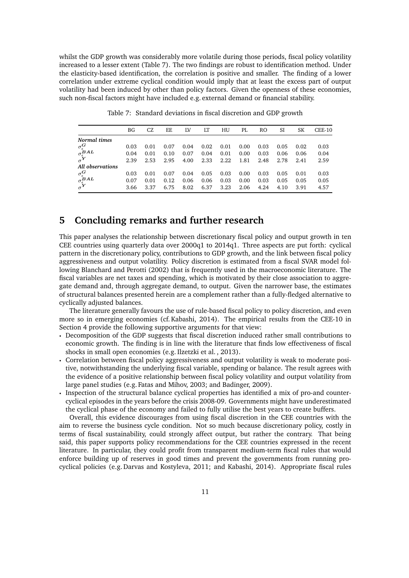whilst the GDP growth was considerably more volatile during those periods, fiscal policy volatility increased to a lesser extent (Table 7). The two findings are robust to identification method. Under the elasticity-based identification, the correlation is positive and smaller. The finding of a lower correlation under extreme cyclical condition would imply that at least the excess part of output volatility had been induced by other than policy factors. Given the openness of these economies, such non-fiscal factors might have included e.g. external demand or financial stability.

|                                                                                       | ΒG   | CZ.  | EF.  | ΙV   | LT   | HU   | PL   | RO.  | SI   | SK   | $CEE-10$ |
|---------------------------------------------------------------------------------------|------|------|------|------|------|------|------|------|------|------|----------|
| Normal times                                                                          |      |      |      |      |      |      |      |      |      |      |          |
| $\sigma^G_{\epsilon\atop{\sigma^B_\epsilon}AL}$                                       | 0.03 | 0.01 | 0.07 | 0.04 | 0.02 | 0.01 | 0.00 | 0.03 | 0.05 | 0.02 | 0.03     |
|                                                                                       | 0.04 | 0.01 | 0.10 | 0.07 | 0.04 | 0.01 | 0.00 | 0.03 | 0.06 | 0.06 | 0.04     |
| $\sigma^{\mathbf{Y}}$                                                                 | 2.39 | 2.53 | 2.95 | 4.00 | 2.33 | 2.22 | 1.81 | 2.48 | 2.78 | 2.41 | 2.59     |
| All observations                                                                      |      |      |      |      |      |      |      |      |      |      |          |
|                                                                                       | 0.03 | 0.01 | 0.07 | 0.04 | 0.05 | 0.03 | 0.00 | 0.03 | 0.05 | 0.01 | 0.03     |
| $\begin{array}{l} \sigma_\epsilon^G \\ \sigma_\epsilon^{BAL} \\ \sigma^Y \end{array}$ | 0.07 | 0.01 | 0.12 | 0.06 | 0.06 | 0.03 | 0.00 | 0.03 | 0.05 | 0.05 | 0.05     |
|                                                                                       | 3.66 | 3.37 | 6.75 | 8.02 | 6.37 | 3.23 | 2.06 | 4.24 | 4.10 | 3.91 | 4.57     |

Table 7: Standard deviations in fiscal discretion and GDP growth

## **5 Concluding remarks and further research**

This paper analyses the relationship between discretionary fiscal policy and output growth in ten CEE countries using quarterly data over 2000q1 to 2014q1. Three aspects are put forth: cyclical pattern in the discretionary policy, contributions to GDP growth, and the link between fiscal policy aggressiveness and output volatility. Policy discretion is estimated from a fiscal SVAR model following Blanchard and Perotti (2002) that is frequently used in the macroeconomic literature. The fiscal variables are net taxes and spending, which is motivated by their close association to aggregate demand and, through aggregate demand, to output. Given the narrower base, the estimates of structural balances presented herein are a complement rather than a fully-fledged alternative to cyclically adjusted balances.

The literature generally favours the use of rule-based fiscal policy to policy discretion, and even more so in emerging economies (cf. Kabashi, 2014). The empirical results from the CEE-10 in Section 4 provide the following supportive arguments for that view:

- Decomposition of the GDP suggests that fiscal discretion induced rather small contributions to economic growth. The finding is in line with the literature that finds low effectiveness of fiscal shocks in small open economies (e.g. Ilzetzki et al. , 2013).
- Correlation between fiscal policy aggressiveness and output volatility is weak to moderate positive, notwithstanding the underlying fiscal variable, spending or balance. The result agrees with the evidence of a positive relationship between fiscal policy volatility and output volatility from large panel studies (e.g. Fatas and Mihov, 2003; and Badinger, 2009).
- q Inspection of the structural balance cyclical properties has identified a mix of pro-and countercyclical episodes in the years before the crisis 2008-09. Governments might have underestimated the cyclical phase of the economy and failed to fully utilise the best years to create buffers.

Overall, this evidence discourages from using fiscal discretion in the CEE countries with the aim to reverse the business cycle condition. Not so much because discretionary policy, costly in terms of fiscal sustainability, could strongly affect output, but rather the contrary. That being said, this paper supports policy recommendations for the CEE countries expressed in the recent literature. In particular, they could profit from transparent medium-term fiscal rules that would enforce building up of reserves in good times and prevent the governments from running procyclical policies (e.g. Darvas and Kostyleva, 2011; and Kabashi, 2014). Appropriate fiscal rules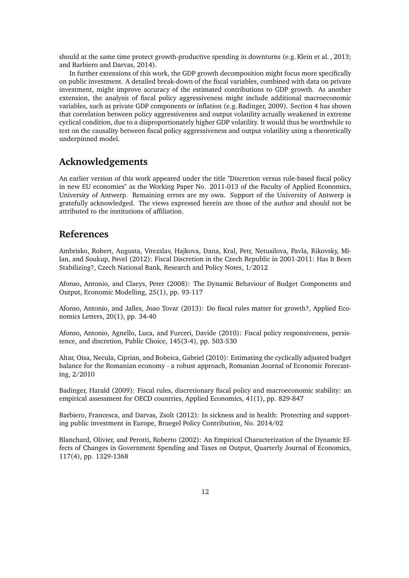should at the same time protect growth-productive spending in downturns (e.g. Klein et al. , 2013; and Barbiero and Darvas, 2014).

In further extensions of this work, the GDP growth decomposition might focus more specifically on public investment. A detailed break-down of the fiscal variables, combined with data on private investment, might improve accuracy of the estimated contributions to GDP growth. As another extension, the analysis of fiscal policy aggressiveness might include additional macroeconomic variables, such as private GDP components or inflation (e.g. Badinger, 2009). Section 4 has shown that correlation between policy aggressiveness and output volatility actually weakened in extreme cyclical condition, due to a disproportionately higher GDP volatility. It would thus be worthwhile to test on the causality between fiscal policy aggressiveness and output volatility using a theoretically underpinned model.

## **Acknowledgements**

An earlier version of this work appeared under the title "Discretion versus rule-based fiscal policy in new EU economies" as the Working Paper No. 2011-013 of the Faculty of Applied Economics, University of Antwerp. Remaining errors are my own. Support of the University of Antwerp is gratefully acknowledged. The views expressed herein are those of the author and should not be attributed to the institutions of affiliation.

#### **References**

Ambrisko, Robert, Augusta, Vitezslav, Hajkova, Dana, Kral, Petr, Netusilova, Pavla, Rikovsky, Milan, and Soukup, Pavel (2012): Fiscal Discretion in the Czech Republic in 2001-2011: Has It Been Stabilizing?, Czech National Bank, Research and Policy Notes, 1/2012

Afonso, Antonio, and Claeys, Peter (2008): The Dynamic Behaviour of Budget Components and Output, Economic Modelling, 25(1), pp. 93-117

Afonso, Antonio, and Jalles, Joao Tovar (2013): Do fiscal rules matter for growth?, Applied Economics Letters, 20(1), pp. 34-40

Afonso, Antonio, Agnello, Luca, and Furceri, Davide (2010): Fiscal policy responsiveness, persistence, and discretion, Public Choice, 145(3-4), pp. 503-530

Altar, Oisa, Necula, Ciprian, and Bobeica, Gabriel (2010): Estimating the cyclically adjusted budget balance for the Romanian economy - a robust approach, Romanian Journal of Economic Forecasting, 2/2010

Badinger, Harald (2009): Fiscal rules, discretionary fiscal policy and macroeconomic stability: an empirical assessment for OECD countries, Applied Economics, 41(1), pp. 829-847

Barbiero, Francesca, and Darvas, Zsolt (2012): In sickness and in health: Protecting and supporting public investment in Europe, Bruegel Policy Contribution, No. 2014/02

Blanchard, Olivier, and Perotti, Roberto (2002): An Empirical Characterization of the Dynamic Effects of Changes in Government Spending and Taxes on Output, Quarterly Journal of Economics, 117(4), pp. 1329-1368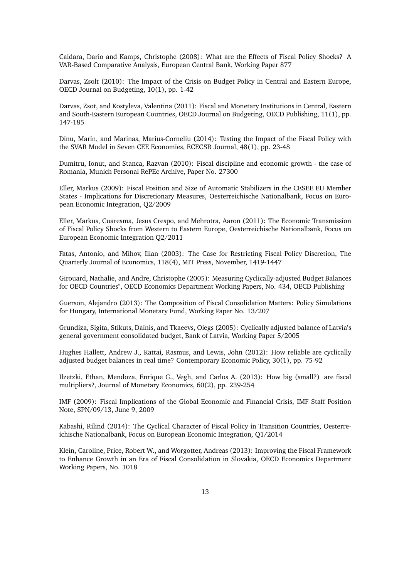Caldara, Dario and Kamps, Christophe (2008): What are the Effects of Fiscal Policy Shocks? A VAR-Based Comparative Analysis, European Central Bank, Working Paper 877

Darvas, Zsolt (2010): The Impact of the Crisis on Budget Policy in Central and Eastern Europe, OECD Journal on Budgeting, 10(1), pp. 1-42

Darvas, Zsot, and Kostyleva, Valentina (2011): Fiscal and Monetary Institutions in Central, Eastern and South-Eastern European Countries, OECD Journal on Budgeting, OECD Publishing, 11(1), pp. 147-185

Dinu, Marin, and Marinas, Marius-Corneliu (2014): Testing the Impact of the Fiscal Policy with the SVAR Model in Seven CEE Economies, ECECSR Journal, 48(1), pp. 23-48

Dumitru, Ionut, and Stanca, Razvan (2010): Fiscal discipline and economic growth - the case of Romania, Munich Personal RePEc Archive, Paper No. 27300

Eller, Markus (2009): Fiscal Position and Size of Automatic Stabilizers in the CESEE EU Member States - Implications for Discretionary Measures, Oesterreichische Nationalbank, Focus on European Economic Integration, Q2/2009

Eller, Markus, Cuaresma, Jesus Crespo, and Mehrotra, Aaron (2011): The Economic Transmission of Fiscal Policy Shocks from Western to Eastern Europe, Oesterreichische Nationalbank, Focus on European Economic Integration Q2/2011

Fatas, Antonio, and Mihov, Ilian (2003): The Case for Restricting Fiscal Policy Discretion, The Quarterly Journal of Economics, 118(4), MIT Press, November, 1419-1447

Girouard, Nathalie, and Andre, Christophe (2005): Measuring Cyclically-adjusted Budget Balances for OECD Countries", OECD Economics Department Working Papers, No. 434, OECD Publishing

Guerson, Alejandro (2013): The Composition of Fiscal Consolidation Matters: Policy Simulations for Hungary, International Monetary Fund, Working Paper No. 13/207

Grundiza, Sigita, Stikuts, Dainis, and Tkaeevs, Oiegs (2005): Cyclically adjusted balance of Latvia's general government consolidated budget, Bank of Latvia, Working Paper 5/2005

Hughes Hallett, Andrew J., Kattai, Rasmus, and Lewis, John (2012): How reliable are cyclically adjusted budget balances in real time? Contemporary Economic Policy, 30(1), pp. 75-92

Ilzetzki, Ethan, Mendoza, Enrique G., Vegh, and Carlos A. (2013): How big (small?) are fiscal multipliers?, Journal of Monetary Economics, 60(2), pp. 239-254

IMF (2009): Fiscal Implications of the Global Economic and Financial Crisis, IMF Staff Position Note, SPN/09/13, June 9, 2009

Kabashi, Rilind (2014): The Cyclical Character of Fiscal Policy in Transition Countries, Oesterreichische Nationalbank, Focus on European Economic Integration, Q1/2014

Klein, Caroline, Price, Robert W., and Worgotter, Andreas (2013): Improving the Fiscal Framework to Enhance Growth in an Era of Fiscal Consolidation in Slovakia, OECD Economics Department Working Papers, No. 1018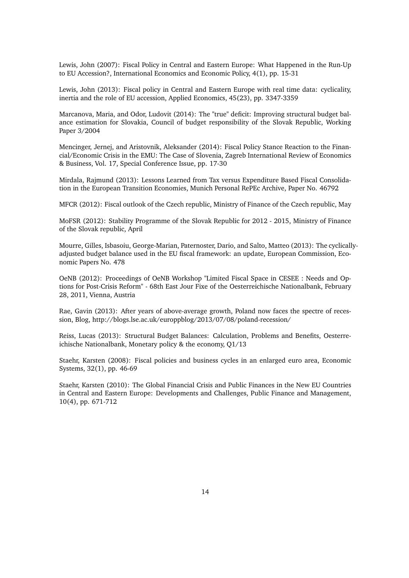Lewis, John (2007): Fiscal Policy in Central and Eastern Europe: What Happened in the Run-Up to EU Accession?, International Economics and Economic Policy, 4(1), pp. 15-31

Lewis, John (2013): Fiscal policy in Central and Eastern Europe with real time data: cyclicality, inertia and the role of EU accession, Applied Economics, 45(23), pp. 3347-3359

Marcanova, Maria, and Odor, Ludovit (2014): The "true" deficit: Improving structural budget balance estimation for Slovakia, Council of budget responsibility of the Slovak Republic, Working Paper 3/2004

Mencinger, Jernej, and Aristovnik, Aleksander (2014): Fiscal Policy Stance Reaction to the Financial/Economic Crisis in the EMU: The Case of Slovenia, Zagreb International Review of Economics & Business, Vol. 17, Special Conference Issue, pp. 17-30

Mirdala, Rajmund (2013): Lessons Learned from Tax versus Expenditure Based Fiscal Consolidation in the European Transition Economies, Munich Personal RePEc Archive, Paper No. 46792

MFCR (2012): Fiscal outlook of the Czech republic, Ministry of Finance of the Czech republic, May

MoFSR (2012): Stability Programme of the Slovak Republic for 2012 - 2015, Ministry of Finance of the Slovak republic, April

Mourre, Gilles, Isbasoiu, George-Marian, Paternoster, Dario, and Salto, Matteo (2013): The cyclicallyadjusted budget balance used in the EU fiscal framework: an update, European Commission, Economic Papers No. 478

OeNB (2012): Proceedings of OeNB Workshop "Limited Fiscal Space in CESEE : Needs and Options for Post-Crisis Reform" - 68th East Jour Fixe of the Oesterreichische Nationalbank, February 28, 2011, Vienna, Austria

Rae, Gavin (2013): After years of above-average growth, Poland now faces the spectre of recession, Blog, http://blogs.lse.ac.uk/europpblog/2013/07/08/poland-recession/

Reiss, Lucas (2013): Structural Budget Balances: Calculation, Problems and Benefits, Oesterreichische Nationalbank, Monetary policy & the economy, Q1/13

Staehr, Karsten (2008): Fiscal policies and business cycles in an enlarged euro area, Economic Systems, 32(1), pp. 46-69

Staehr, Karsten (2010): The Global Financial Crisis and Public Finances in the New EU Countries in Central and Eastern Europe: Developments and Challenges, Public Finance and Management, 10(4), pp. 671-712